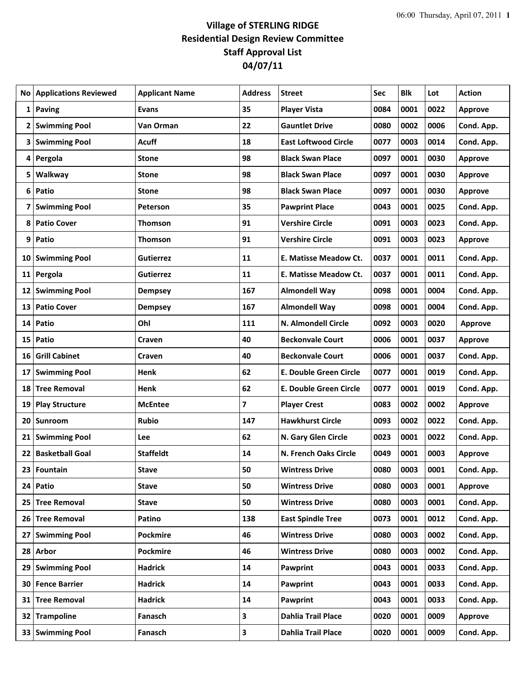## **Village of STERLING RIDGE Residential Design Review Committee Staff Approval List 04/07/11**

|    | No   Applications Reviewed | <b>Applicant Name</b> | <b>Address</b> | <b>Street</b>               | Sec  | <b>Blk</b> | Lot  | <b>Action</b>  |
|----|----------------------------|-----------------------|----------------|-----------------------------|------|------------|------|----------------|
|    | 1 Paving                   | <b>Evans</b>          | 35             | <b>Player Vista</b>         | 0084 | 0001       | 0022 | <b>Approve</b> |
|    | 2 Swimming Pool            | Van Orman             | 22             | <b>Gauntlet Drive</b>       | 0080 | 0002       | 0006 | Cond. App.     |
|    | 3 Swimming Pool            | Acuff                 | 18             | <b>East Loftwood Circle</b> | 0077 | 0003       | 0014 | Cond. App.     |
| 4  | Pergola                    | <b>Stone</b>          | 98             | <b>Black Swan Place</b>     | 0097 | 0001       | 0030 | <b>Approve</b> |
|    | 5   Walkway                | <b>Stone</b>          | 98             | <b>Black Swan Place</b>     | 0097 | 0001       | 0030 | <b>Approve</b> |
|    | 6 Patio                    | <b>Stone</b>          | 98             | <b>Black Swan Place</b>     | 0097 | 0001       | 0030 | <b>Approve</b> |
| 7  | <b>Swimming Pool</b>       | Peterson              | 35             | <b>Pawprint Place</b>       | 0043 | 0001       | 0025 | Cond. App.     |
|    | 8 Patio Cover              | Thomson               | 91             | <b>Vershire Circle</b>      | 0091 | 0003       | 0023 | Cond. App.     |
| 9  | Patio                      | Thomson               | 91             | <b>Vershire Circle</b>      | 0091 | 0003       | 0023 | <b>Approve</b> |
|    | 10 Swimming Pool           | <b>Gutierrez</b>      | 11             | E. Matisse Meadow Ct.       | 0037 | 0001       | 0011 | Cond. App.     |
|    | 11 Pergola                 | Gutierrez             | 11             | E. Matisse Meadow Ct.       | 0037 | 0001       | 0011 | Cond. App.     |
|    | 12 Swimming Pool           | <b>Dempsey</b>        | 167            | <b>Almondell Way</b>        | 0098 | 0001       | 0004 | Cond. App.     |
| 13 | <b>Patio Cover</b>         | <b>Dempsey</b>        | 167            | <b>Almondell Way</b>        | 0098 | 0001       | 0004 | Cond. App.     |
| 14 | Patio                      | Ohl                   | 111            | N. Almondell Circle         | 0092 | 0003       | 0020 | <b>Approve</b> |
|    | 15 Patio                   | Craven                | 40             | <b>Beckonvale Court</b>     | 0006 | 0001       | 0037 | <b>Approve</b> |
| 16 | <b>Grill Cabinet</b>       | <b>Craven</b>         | 40             | <b>Beckonvale Court</b>     | 0006 | 0001       | 0037 | Cond. App.     |
| 17 | <b>Swimming Pool</b>       | Henk                  | 62             | E. Double Green Circle      | 0077 | 0001       | 0019 | Cond. App.     |
|    | 18 Tree Removal            | Henk                  | 62             | E. Double Green Circle      | 0077 | 0001       | 0019 | Cond. App.     |
| 19 | <b>Play Structure</b>      | <b>McEntee</b>        | 7              | <b>Player Crest</b>         | 0083 | 0002       | 0002 | <b>Approve</b> |
| 20 | Sunroom                    | <b>Rubio</b>          | 147            | <b>Hawkhurst Circle</b>     | 0093 | 0002       | 0022 | Cond. App.     |
|    | 21 Swimming Pool           | Lee                   | 62             | N. Gary Glen Circle         | 0023 | 0001       | 0022 | Cond. App.     |
|    | 22 Basketball Goal         | <b>Staffeldt</b>      | 14             | N. French Oaks Circle       | 0049 | 0001       | 0003 | <b>Approve</b> |
| 23 | Fountain                   | <b>Stave</b>          | 50             | <b>Wintress Drive</b>       | 0080 | 0003       | 0001 | Cond. App.     |
|    | 24 Patio                   | <b>Stave</b>          | 50             | <b>Wintress Drive</b>       | 0080 | 0003       | 0001 | Approve        |
|    | 25 Tree Removal            | <b>Stave</b>          | 50             | <b>Wintress Drive</b>       | 0080 | 0003       | 0001 | Cond. App.     |
|    | 26 Tree Removal            | Patino                | 138            | <b>East Spindle Tree</b>    | 0073 | 0001       | 0012 | Cond. App.     |
| 27 | <b>Swimming Pool</b>       | <b>Pockmire</b>       | 46             | <b>Wintress Drive</b>       | 0080 | 0003       | 0002 | Cond. App.     |
|    | 28 Arbor                   | Pockmire              | 46             | <b>Wintress Drive</b>       | 0080 | 0003       | 0002 | Cond. App.     |
| 29 | <b>Swimming Pool</b>       | <b>Hadrick</b>        | 14             | Pawprint                    | 0043 | 0001       | 0033 | Cond. App.     |
|    | 30 Fence Barrier           | <b>Hadrick</b>        | 14             | Pawprint                    | 0043 | 0001       | 0033 | Cond. App.     |
|    | 31 Tree Removal            | Hadrick               | 14             | Pawprint                    | 0043 | 0001       | 0033 | Cond. App.     |
|    | 32 Trampoline              | Fanasch               | 3              | <b>Dahlia Trail Place</b>   | 0020 | 0001       | 0009 | Approve        |
|    | 33 Swimming Pool           | Fanasch               | 3              | <b>Dahlia Trail Place</b>   | 0020 | 0001       | 0009 | Cond. App.     |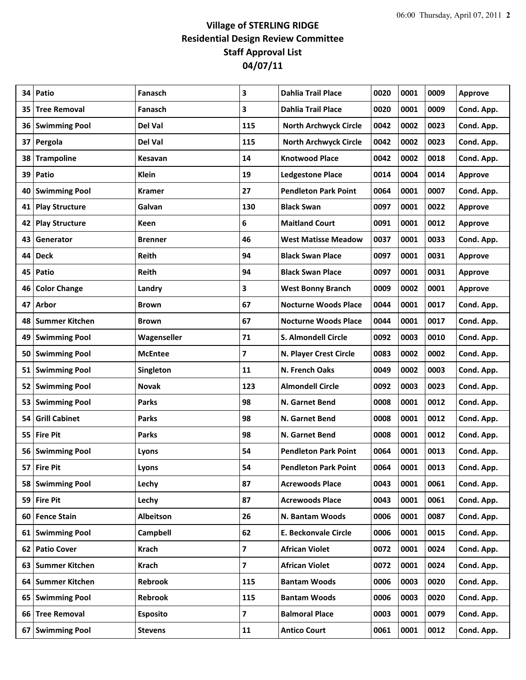## **Village of STERLING RIDGE Residential Design Review Committee Staff Approval List 04/07/11**

| 34 | Patio                | Fanasch         | 3                       | <b>Dahlia Trail Place</b>    | 0020 | 0001 | 0009 | <b>Approve</b> |
|----|----------------------|-----------------|-------------------------|------------------------------|------|------|------|----------------|
| 35 | <b>Tree Removal</b>  | Fanasch         | 3                       | <b>Dahlia Trail Place</b>    | 0020 | 0001 | 0009 | Cond. App.     |
|    | 36 Swimming Pool     | Del Val         | 115                     | <b>North Archwyck Circle</b> | 0042 | 0002 | 0023 | Cond. App.     |
| 37 | Pergola              | Del Val         | 115                     | <b>North Archwyck Circle</b> | 0042 | 0002 | 0023 | Cond. App.     |
| 38 | <b>Trampoline</b>    | Kesavan         | 14                      | <b>Knotwood Place</b>        | 0042 | 0002 | 0018 | Cond. App.     |
| 39 | Patio                | <b>Klein</b>    | 19                      | <b>Ledgestone Place</b>      | 0014 | 0004 | 0014 | <b>Approve</b> |
| 40 | <b>Swimming Pool</b> | <b>Kramer</b>   | 27                      | <b>Pendleton Park Point</b>  | 0064 | 0001 | 0007 | Cond. App.     |
|    | 41 Play Structure    | Galvan          | 130                     | <b>Black Swan</b>            | 0097 | 0001 | 0022 | <b>Approve</b> |
|    | 42 Play Structure    | Keen            | 6                       | <b>Maitland Court</b>        | 0091 | 0001 | 0012 | <b>Approve</b> |
| 43 | Generator            | Brenner         | 46                      | <b>West Matisse Meadow</b>   | 0037 | 0001 | 0033 | Cond. App.     |
| 44 | <b>Deck</b>          | Reith           | 94                      | <b>Black Swan Place</b>      | 0097 | 0001 | 0031 | <b>Approve</b> |
| 45 | Patio                | <b>Reith</b>    | 94                      | <b>Black Swan Place</b>      | 0097 | 0001 | 0031 | <b>Approve</b> |
| 46 | <b>Color Change</b>  | Landry          | 3                       | <b>West Bonny Branch</b>     | 0009 | 0002 | 0001 | <b>Approve</b> |
| 47 | <b>Arbor</b>         | <b>Brown</b>    | 67                      | <b>Nocturne Woods Place</b>  | 0044 | 0001 | 0017 | Cond. App.     |
|    | 48   Summer Kitchen  | <b>Brown</b>    | 67                      | <b>Nocturne Woods Place</b>  | 0044 | 0001 | 0017 | Cond. App.     |
| 49 | <b>Swimming Pool</b> | Wagenseller     | 71                      | S. Almondell Circle          | 0092 | 0003 | 0010 | Cond. App.     |
| 50 | <b>Swimming Pool</b> | <b>McEntee</b>  | 7                       | N. Player Crest Circle       | 0083 | 0002 | 0002 | Cond. App.     |
|    | 51 Swimming Pool     | Singleton       | 11                      | N. French Oaks               | 0049 | 0002 | 0003 | Cond. App.     |
|    | 52 Swimming Pool     | <b>Novak</b>    | 123                     | <b>Almondell Circle</b>      | 0092 | 0003 | 0023 | Cond. App.     |
| 53 | <b>Swimming Pool</b> | <b>Parks</b>    | 98                      | N. Garnet Bend               | 0008 | 0001 | 0012 | Cond. App.     |
|    | 54 Grill Cabinet     | <b>Parks</b>    | 98                      | N. Garnet Bend               | 0008 | 0001 | 0012 | Cond. App.     |
|    | 55   Fire Pit        | <b>Parks</b>    | 98                      | N. Garnet Bend               | 0008 | 0001 | 0012 | Cond. App.     |
|    | 56 Swimming Pool     | Lyons           | 54                      | <b>Pendleton Park Point</b>  | 0064 | 0001 | 0013 | Cond. App.     |
|    | 57 Fire Pit          | Lyons           | 54                      | <b>Pendleton Park Point</b>  | 0064 | 0001 | 0013 | Cond. App.     |
|    | 58 Swimming Pool     | Lechy           | 87                      | <b>Acrewoods Place</b>       | 0043 | 0001 | 0061 | Cond. App.     |
|    | 59 Fire Pit          | Lechy           | 87                      | <b>Acrewoods Place</b>       | 0043 | 0001 | 0061 | Cond. App.     |
|    | 60 Fence Stain       | Albeitson       | 26                      | N. Bantam Woods              | 0006 | 0001 | 0087 | Cond. App.     |
|    | 61 Swimming Pool     | Campbell        | 62                      | <b>E. Beckonvale Circle</b>  | 0006 | 0001 | 0015 | Cond. App.     |
|    | 62 Patio Cover       | Krach           | $\overline{\mathbf{z}}$ | <b>African Violet</b>        | 0072 | 0001 | 0024 | Cond. App.     |
|    | 63 Summer Kitchen    | Krach           | 7                       | <b>African Violet</b>        | 0072 | 0001 | 0024 | Cond. App.     |
|    | 64 Summer Kitchen    | Rebrook         | 115                     | <b>Bantam Woods</b>          | 0006 | 0003 | 0020 | Cond. App.     |
|    | 65 Swimming Pool     | Rebrook         | 115                     | <b>Bantam Woods</b>          | 0006 | 0003 | 0020 | Cond. App.     |
|    | 66 Tree Removal      | <b>Esposito</b> | $\overline{\mathbf{z}}$ | <b>Balmoral Place</b>        | 0003 | 0001 | 0079 | Cond. App.     |
|    | 67 Swimming Pool     | <b>Stevens</b>  | 11                      | <b>Antico Court</b>          | 0061 | 0001 | 0012 | Cond. App.     |